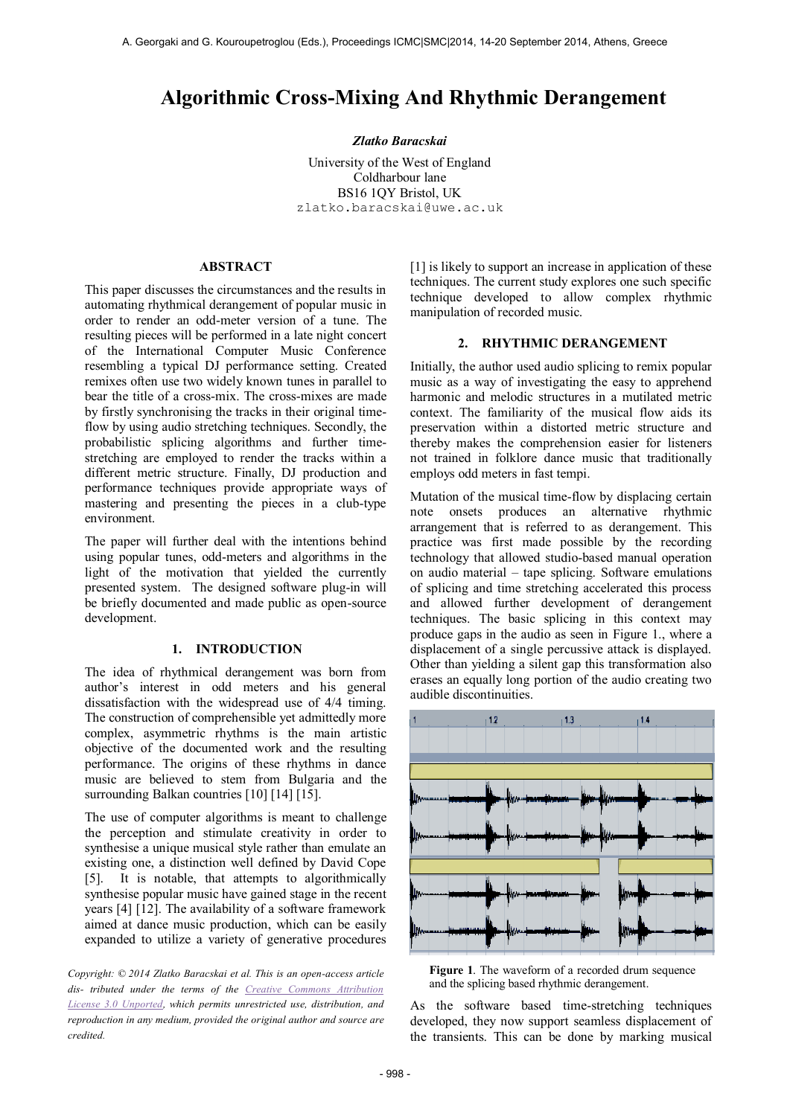# **Algorithmic Cross-Mixing And Rhythmic Derangement**

#### *Zlatko Baracskai*

University of the West of England Coldharbour lane BS16 1QY Bristol, UK zlatko.baracskai@uwe.ac.uk

# **ABSTRACT**

This paper discusses the circumstances and the results in automating rhythmical derangement of popular music in order to render an odd-meter version of a tune. The resulting pieces will be performed in a late night concert of the International Computer Music Conference resembling a typical DJ performance setting. Created remixes often use two widely known tunes in parallel to bear the title of a cross-mix. The cross-mixes are made by firstly synchronising the tracks in their original timeflow by using audio stretching techniques. Secondly, the probabilistic splicing algorithms and further timestretching are employed to render the tracks within a different metric structure. Finally, DJ production and performance techniques provide appropriate ways of mastering and presenting the pieces in a club-type environment.

The paper will further deal with the intentions behind using popular tunes, odd-meters and algorithms in the light of the motivation that yielded the currently presented system. The designed software plug-in will be briefly documented and made public as open-source development.

## **1. INTRODUCTION**

The idea of rhythmical derangement was born from author's interest in odd meters and his general dissatisfaction with the widespread use of 4/4 timing. The construction of comprehensible yet admittedly more complex, asymmetric rhythms is the main artistic objective of the documented work and the resulting performance. The origins of these rhythms in dance music are believed to stem from Bulgaria and the surrounding Balkan countries [10] [14] [15].

The use of computer algorithms is meant to challenge the perception and stimulate creativity in order to synthesise a unique musical style rather than emulate an existing one, a distinction well defined by David Cope [5]. It is notable, that attempts to algorithmically synthesise popular music have gained stage in the recent years [4] [12]. The availability of a software framework aimed at dance music production, which can be easily expanded to utilize a variety of generative procedures

*Copyright: © 2014 Zlatko Baracskai et al. This is an open-access article dis- tributed under the terms of the [Creative Commons Attribution](http://creativecommons.org/licenses/by/3.0/)  [License 3.0 Unported,](http://creativecommons.org/licenses/by/3.0/) which permits unrestricted use, distribution, and reproduction in any medium, provided the original author and source are credited.*

[1] is likely to support an increase in application of these techniques. The current study explores one such specific technique developed to allow complex rhythmic manipulation of recorded music.

## **2. RHYTHMIC DERANGEMENT**

Initially, the author used audio splicing to remix popular music as a way of investigating the easy to apprehend harmonic and melodic structures in a mutilated metric context. The familiarity of the musical flow aids its preservation within a distorted metric structure and thereby makes the comprehension easier for listeners not trained in folklore dance music that traditionally employs odd meters in fast tempi.

Mutation of the musical time-flow by displacing certain note onsets produces an alternative rhythmic arrangement that is referred to as derangement. This practice was first made possible by the recording technology that allowed studio-based manual operation on audio material – tape splicing. Software emulations of splicing and time stretching accelerated this process and allowed further development of derangement techniques. The basic splicing in this context may produce gaps in the audio as seen in Figure 1., where a displacement of a single percussive attack is displayed. Other than yielding a silent gap this transformation also erases an equally long portion of the audio creating two audible discontinuities.



**Figure 1**. The waveform of a recorded drum sequence and the splicing based rhythmic derangement.

As the software based time-stretching techniques developed, they now support seamless displacement of the transients. This can be done by marking musical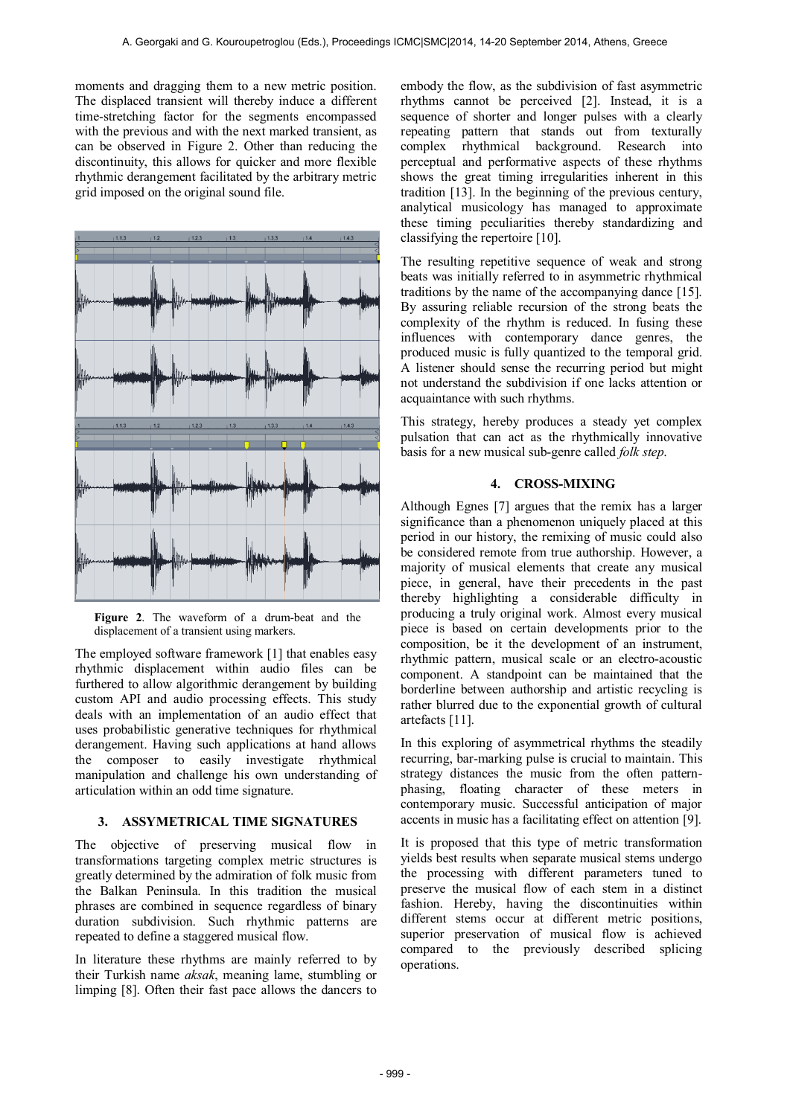moments and dragging them to a new metric position. The displaced transient will thereby induce a different time-stretching factor for the segments encompassed with the previous and with the next marked transient, as can be observed in Figure 2. Other than reducing the discontinuity, this allows for quicker and more flexible rhythmic derangement facilitated by the arbitrary metric grid imposed on the original sound file.



**Figure 2**. The waveform of a drum-beat and the displacement of a transient using markers.

The employed software framework [1] that enables easy rhythmic displacement within audio files can be furthered to allow algorithmic derangement by building custom API and audio processing effects. This study deals with an implementation of an audio effect that uses probabilistic generative techniques for rhythmical derangement. Having such applications at hand allows the composer to easily investigate rhythmical manipulation and challenge his own understanding of articulation within an odd time signature.

## **3. ASSYMETRICAL TIME SIGNATURES**

The objective of preserving musical flow in transformations targeting complex metric structures is greatly determined by the admiration of folk music from the Balkan Peninsula. In this tradition the musical phrases are combined in sequence regardless of binary duration subdivision. Such rhythmic patterns are repeated to define a staggered musical flow.

In literature these rhythms are mainly referred to by their Turkish name *aksak*, meaning lame, stumbling or limping [8]. Often their fast pace allows the dancers to embody the flow, as the subdivision of fast asymmetric rhythms cannot be perceived [2]. Instead, it is a sequence of shorter and longer pulses with a clearly repeating pattern that stands out from texturally complex rhythmical background. Research into perceptual and performative aspects of these rhythms shows the great timing irregularities inherent in this tradition [13]. In the beginning of the previous century, analytical musicology has managed to approximate these timing peculiarities thereby standardizing and classifying the repertoire [10].

The resulting repetitive sequence of weak and strong beats was initially referred to in asymmetric rhythmical traditions by the name of the accompanying dance [15]. By assuring reliable recursion of the strong beats the complexity of the rhythm is reduced. In fusing these influences with contemporary dance genres, the produced music is fully quantized to the temporal grid. A listener should sense the recurring period but might not understand the subdivision if one lacks attention or acquaintance with such rhythms.

This strategy, hereby produces a steady yet complex pulsation that can act as the rhythmically innovative basis for a new musical sub-genre called *folk step*.

## **4. CROSS-MIXING**

Although Egnes [7] argues that the remix has a larger significance than a phenomenon uniquely placed at this period in our history, the remixing of music could also be considered remote from true authorship. However, a majority of musical elements that create any musical piece, in general, have their precedents in the past thereby highlighting a considerable difficulty in producing a truly original work. Almost every musical piece is based on certain developments prior to the composition, be it the development of an instrument, rhythmic pattern, musical scale or an electro-acoustic component. A standpoint can be maintained that the borderline between authorship and artistic recycling is rather blurred due to the exponential growth of cultural artefacts [11].

In this exploring of asymmetrical rhythms the steadily recurring, bar-marking pulse is crucial to maintain. This strategy distances the music from the often patternphasing, floating character of these meters in contemporary music. Successful anticipation of major accents in music has a facilitating effect on attention [9].

It is proposed that this type of metric transformation yields best results when separate musical stems undergo the processing with different parameters tuned to preserve the musical flow of each stem in a distinct fashion. Hereby, having the discontinuities within different stems occur at different metric positions, superior preservation of musical flow is achieved compared to the previously described splicing operations.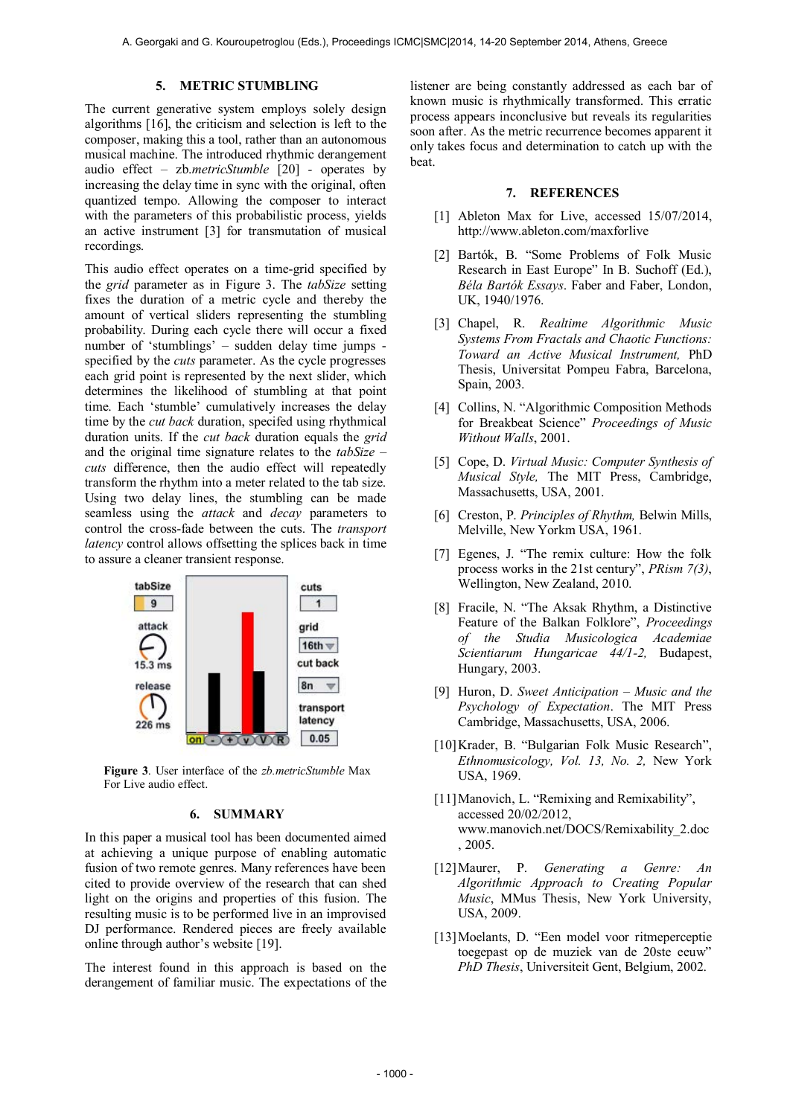#### **5. METRIC STUMBLING**

The current generative system employs solely design algorithms [16], the criticism and selection is left to the composer, making this a tool, rather than an autonomous musical machine. The introduced rhythmic derangement audio effect – zb.*metricStumble* [20] *-* operates by increasing the delay time in sync with the original, often quantized tempo. Allowing the composer to interact with the parameters of this probabilistic process, yields an active instrument [3] for transmutation of musical recordings.

This audio effect operates on a time-grid specified by the *grid* parameter as in Figure 3. The *tabSize* setting fixes the duration of a metric cycle and thereby the amount of vertical sliders representing the stumbling probability. During each cycle there will occur a fixed number of 'stumblings' – sudden delay time jumps specified by the *cuts* parameter. As the cycle progresses each grid point is represented by the next slider, which determines the likelihood of stumbling at that point time. Each 'stumble' cumulatively increases the delay time by the *cut back* duration, specifed using rhythmical duration units. If the *cut back* duration equals the *grid*  and the original time signature relates to the *tabSize – cuts* difference, then the audio effect will repeatedly transform the rhythm into a meter related to the tab size. Using two delay lines, the stumbling can be made seamless using the *attack* and *decay* parameters to control the cross-fade between the cuts. The *transport latency* control allows offsetting the splices back in time to assure a cleaner transient response.



**Figure 3**. User interface of the *zb.metricStumble* Max For Live audio effect.

#### **6. SUMMARY**

In this paper a musical tool has been documented aimed at achieving a unique purpose of enabling automatic fusion of two remote genres. Many references have been cited to provide overview of the research that can shed light on the origins and properties of this fusion. The resulting music is to be performed live in an improvised DJ performance. Rendered pieces are freely available online through author's website [19].

The interest found in this approach is based on the derangement of familiar music. The expectations of the listener are being constantly addressed as each bar of known music is rhythmically transformed. This erratic process appears inconclusive but reveals its regularities soon after. As the metric recurrence becomes apparent it only takes focus and determination to catch up with the beat.

#### **7. REFERENCES**

- [1] Ableton Max for Live, accessed 15/07/2014, http://www.ableton.com/maxforlive
- [2] Bartók, B. "Some Problems of Folk Music Research in East Europe" In B. Suchoff (Ed.), *Béla Bartók Essays*. Faber and Faber, London, UK, 1940/1976.
- [3] Chapel, R. *Realtime Algorithmic Music Systems From Fractals and Chaotic Functions: Toward an Active Musical Instrument,* PhD Thesis, Universitat Pompeu Fabra, Barcelona, Spain, 2003.
- [4] Collins, N. "Algorithmic Composition Methods for Breakbeat Science" *Proceedings of Music Without Walls*, 2001.
- [5] Cope, D. *Virtual Music: Computer Synthesis of Musical Style,* The MIT Press, Cambridge, Massachusetts, USA, 2001.
- [6] Creston, P. *Principles of Rhythm,* Belwin Mills, Melville, New Yorkm USA, 1961.
- [7] Egenes, J. "The remix culture: How the folk process works in the 21st century", *PRism 7(3)*, Wellington, New Zealand, 2010.
- [8] Fracile, N. "The Aksak Rhythm, a Distinctive Feature of the Balkan Folklore", *Proceedings of the Studia Musicologica Academiae Scientiarum Hungaricae 44/1-2,* Budapest, Hungary, 2003.
- [9] Huron, D. *Sweet Anticipation – Music and the Psychology of Expectation*. The MIT Press Cambridge, Massachusetts, USA, 2006.
- [10]Krader, B. "Bulgarian Folk Music Research", *Ethnomusicology, Vol. 13, No. 2,* New York USA, 1969.
- [11] Manovich, L. "Remixing and Remixability", accessed 20/02/2012, www.manovich.net/DOCS/Remixability\_2.doc , 2005.
- [12]Maurer, P. *Generating a Genre: An Algorithmic Approach to Creating Popular Music*, MMus Thesis, New York University, USA, 2009.
- [13] Moelants, D. "Een model voor ritmeperceptie toegepast op de muziek van de 20ste eeuw" *PhD Thesis*, Universiteit Gent, Belgium, 2002.